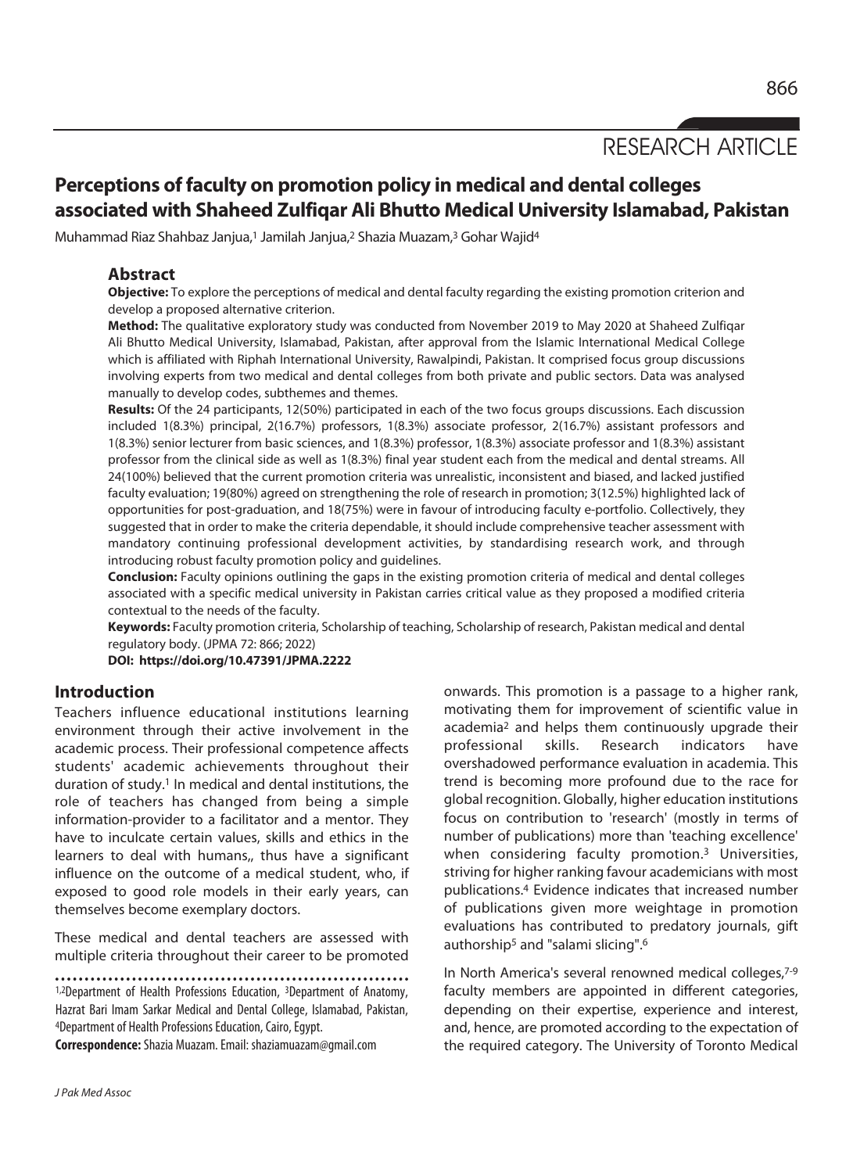# RESEARCH ARTICLE

# **Perceptions of faculty on promotion policy in medical and dental colleges associated with Shaheed Zulfiqar Ali Bhutto Medical University Islamabad, Pakistan**

Muhammad Riaz Shahbaz Janjua,<sup>1</sup> Jamilah Janjua,<sup>2</sup> Shazia Muazam,<sup>3</sup> Gohar Wajid<sup>4</sup>

# **Abstract**

**Objective:** To explore the perceptions of medical and dental faculty regarding the existing promotion criterion and develop a proposed alternative criterion.

**Method:** The qualitative exploratory study was conducted from November 2019 to May 2020 at Shaheed Zulfiqar Ali Bhutto Medical University, Islamabad, Pakistan, after approval from the Islamic International Medical College which is affiliated with Riphah International University, Rawalpindi, Pakistan. It comprised focus group discussions involving experts from two medical and dental colleges from both private and public sectors. Data was analysed manually to develop codes, subthemes and themes.

**Results:** Of the 24 participants, 12(50%) participated in each of the two focus groups discussions. Each discussion included 1(8.3%) principal, 2(16.7%) professors, 1(8.3%) associate professor, 2(16.7%) assistant professors and 1(8.3%) senior lecturer from basic sciences, and 1(8.3%) professor, 1(8.3%) associate professor and 1(8.3%) assistant professor from the clinical side as well as 1(8.3%) final year student each from the medical and dental streams. All 24(100%) believed that the current promotion criteria was unrealistic, inconsistent and biased, and lacked justified faculty evaluation; 19(80%) agreed on strengthening the role of research in promotion; 3(12.5%) highlighted lack of opportunities for post-graduation, and 18(75%) were in favour of introducing faculty e-portfolio. Collectively, they suggested that in order to make the criteria dependable, it should include comprehensive teacher assessment with mandatory continuing professional development activities, by standardising research work, and through introducing robust faculty promotion policy and guidelines.

**Conclusion:** Faculty opinions outlining the gaps in the existing promotion criteria of medical and dental colleges associated with a specific medical university in Pakistan carries critical value as they proposed a modified criteria contextual to the needs of the faculty.

**Keywords:** Faculty promotion criteria, Scholarship of teaching, Scholarship of research, Pakistan medical and dental regulatory body. (JPMA 72: 866; 2022)

**DOI: https://doi.org/10.47391/JPMA.2222** 

# **Introduction**

Teachers influence educational institutions learning environment through their active involvement in the academic process. Their professional competence affects students' academic achievements throughout their duration of study.1 In medical and dental institutions, the role of teachers has changed from being a simple information-provider to a facilitator and a mentor. They have to inculcate certain values, skills and ethics in the learners to deal with humans,, thus have a significant influence on the outcome of a medical student, who, if exposed to good role models in their early years, can themselves become exemplary doctors.

These medical and dental teachers are assessed with multiple criteria throughout their career to be promoted

1,2Department of Health Professions Education, 3Department of Anatomy, Hazrat Bari Imam Sarkar Medical and Dental College, Islamabad, Pakistan, 4Department of Health Professions Education, Cairo, Egypt.

**Correspondence:** Shazia Muazam. Email: shaziamuazam@gmail.com

onwards. This promotion is a passage to a higher rank, motivating them for improvement of scientific value in academia2 and helps them continuously upgrade their professional skills. Research indicators have overshadowed performance evaluation in academia. This trend is becoming more profound due to the race for global recognition. Globally, higher education institutions focus on contribution to 'research' (mostly in terms of number of publications) more than 'teaching excellence' when considering faculty promotion.<sup>3</sup> Universities, striving for higher ranking favour academicians with most publications.4 Evidence indicates that increased number of publications given more weightage in promotion evaluations has contributed to predatory journals, gift authorship<sup>5</sup> and "salami slicing".<sup>6</sup>

In North America's several renowned medical colleges,7-9 faculty members are appointed in different categories, depending on their expertise, experience and interest, and, hence, are promoted according to the expectation of the required category. The University of Toronto Medical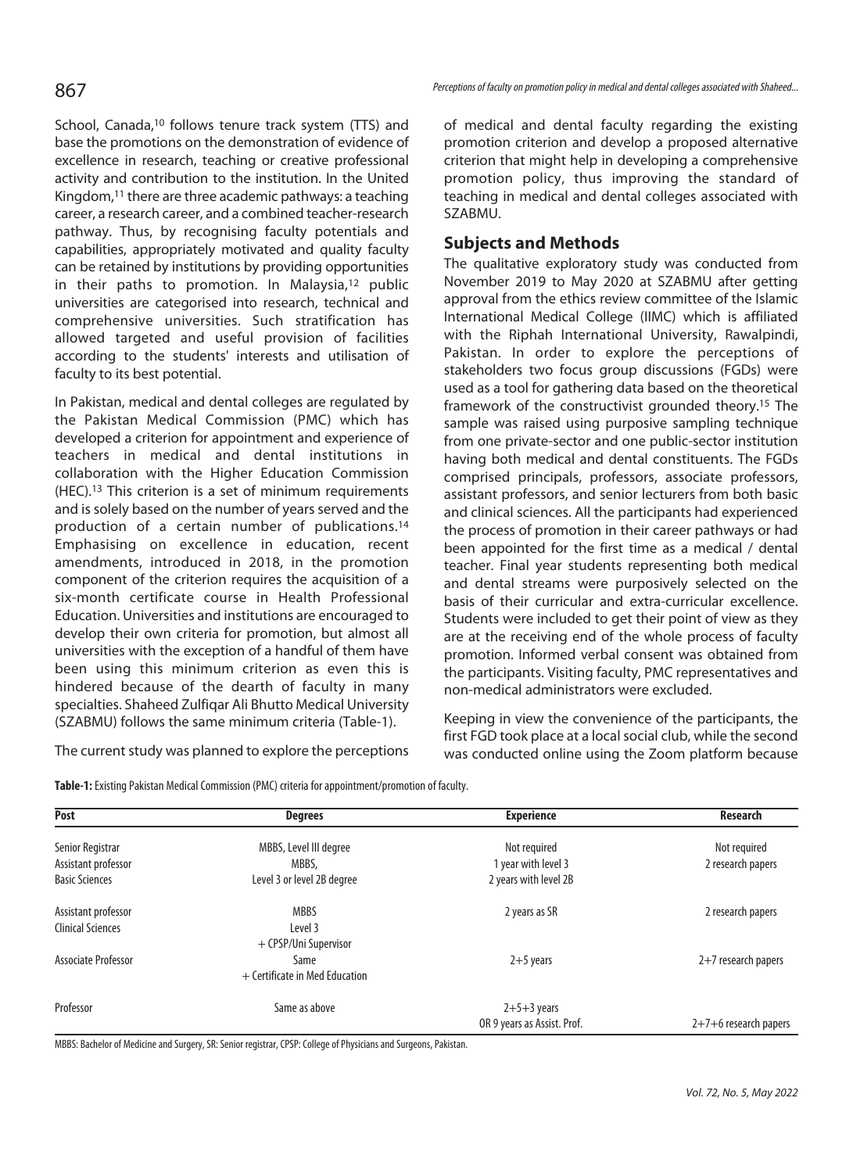School, Canada,<sup>10</sup> follows tenure track system (TTS) and base the promotions on the demonstration of evidence of excellence in research, teaching or creative professional activity and contribution to the institution. In the United Kingdom,11 there are three academic pathways: a teaching career, a research career, and a combined teacher-research pathway. Thus, by recognising faculty potentials and capabilities, appropriately motivated and quality faculty can be retained by institutions by providing opportunities in their paths to promotion. In Malaysia,12 public universities are categorised into research, technical and comprehensive universities. Such stratification has allowed targeted and useful provision of facilities according to the students' interests and utilisation of faculty to its best potential.

In Pakistan, medical and dental colleges are regulated by the Pakistan Medical Commission (PMC) which has developed a criterion for appointment and experience of teachers in medical and dental institutions in collaboration with the Higher Education Commission (HEC).13 This criterion is a set of minimum requirements and is solely based on the number of years served and the production of a certain number of publications.14 Emphasising on excellence in education, recent amendments, introduced in 2018, in the promotion component of the criterion requires the acquisition of a six-month certificate course in Health Professional Education. Universities and institutions are encouraged to develop their own criteria for promotion, but almost all universities with the exception of a handful of them have been using this minimum criterion as even this is hindered because of the dearth of faculty in many specialties. Shaheed Zulfiqar Ali Bhutto Medical University (SZABMU) follows the same minimum criteria (Table-1).

The current study was planned to explore the perceptions

Perceptions of faculty on promotion policy in medical and dental colleges associated with Shaheed...

of medical and dental faculty regarding the existing promotion criterion and develop a proposed alternative criterion that might help in developing a comprehensive promotion policy, thus improving the standard of teaching in medical and dental colleges associated with SZABMU.

# **Subjects and Methods**

The qualitative exploratory study was conducted from November 2019 to May 2020 at SZABMU after getting approval from the ethics review committee of the Islamic International Medical College (IIMC) which is affiliated with the Riphah International University, Rawalpindi, Pakistan. In order to explore the perceptions of stakeholders two focus group discussions (FGDs) were used as a tool for gathering data based on the theoretical framework of the constructivist grounded theory.15 The sample was raised using purposive sampling technique from one private-sector and one public-sector institution having both medical and dental constituents. The FGDs comprised principals, professors, associate professors, assistant professors, and senior lecturers from both basic and clinical sciences. All the participants had experienced the process of promotion in their career pathways or had been appointed for the first time as a medical / dental teacher. Final year students representing both medical and dental streams were purposively selected on the basis of their curricular and extra-curricular excellence. Students were included to get their point of view as they are at the receiving end of the whole process of faculty promotion. Informed verbal consent was obtained from the participants. Visiting faculty, PMC representatives and non-medical administrators were excluded.

Keeping in view the convenience of the participants, the first FGD took place at a local social club, while the second was conducted online using the Zoom platform because

**Table-1:** Existing Pakistan Medical Commission (PMC) criteria for appointment/promotion of faculty.

| Post                     | <b>Degrees</b>                   | <b>Experience</b>           | <b>Research</b>         |
|--------------------------|----------------------------------|-----------------------------|-------------------------|
| Senior Registrar         | MBBS, Level III degree           | Not required                | Not required            |
| Assistant professor      | MBBS,                            | 1 year with level 3         | 2 research papers       |
| <b>Basic Sciences</b>    | Level 3 or level 2B degree       | 2 years with level 2B       |                         |
| Assistant professor      | <b>MBBS</b>                      | 2 years as SR               | 2 research papers       |
| <b>Clinical Sciences</b> | Level 3                          |                             |                         |
|                          | + CPSP/Uni Supervisor            |                             |                         |
| Associate Professor      | Same                             | $2+5$ years                 | 2+7 research papers     |
|                          | $+$ Certificate in Med Education |                             |                         |
| Professor                | Same as above                    | $2+5+3$ years               |                         |
|                          |                                  | OR 9 years as Assist. Prof. | $2+7+6$ research papers |

MBBS: Bachelor of Medicine and Surgery, SR: Senior registrar, CPSP: College of Physicians and Surgeons, Pakistan.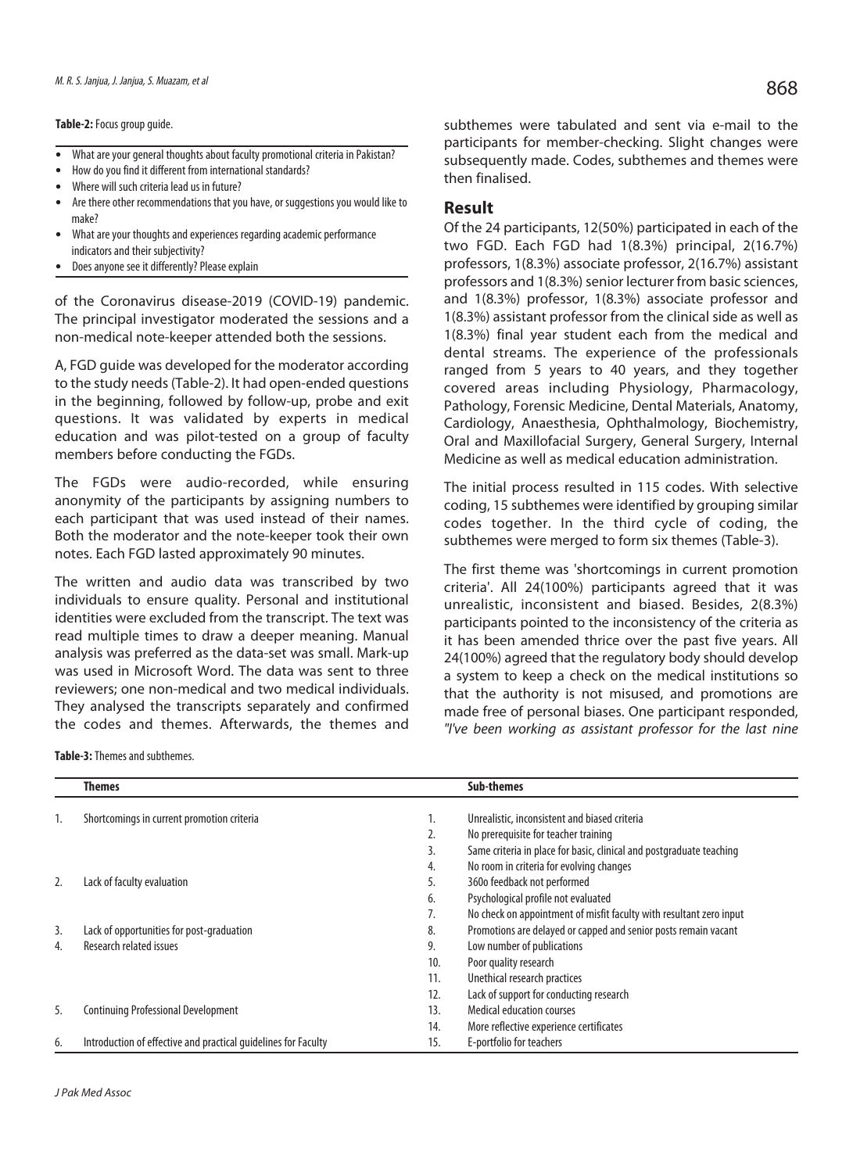**Table-2:** Focus group guide.

- What are your general thoughts about faculty promotional criteria in Pakistan?
- How do you find it different from international standards?
- Where will such criteria lead us in future?
- Are there other recommendations that you have, or suggestions you would like to make?
- <sup>l</sup> What are your thoughts and experiences regarding academic performance indicators and their subjectivity?
- Does anyone see it differently? Please explain

of the Coronavirus disease-2019 (COVID-19) pandemic. The principal investigator moderated the sessions and a non-medical note-keeper attended both the sessions.

A, FGD guide was developed for the moderator according to the study needs (Table-2). It had open-ended questions in the beginning, followed by follow-up, probe and exit questions. It was validated by experts in medical education and was pilot-tested on a group of faculty members before conducting the FGDs.

The FGDs were audio-recorded, while ensuring anonymity of the participants by assigning numbers to each participant that was used instead of their names. Both the moderator and the note-keeper took their own notes. Each FGD lasted approximately 90 minutes.

The written and audio data was transcribed by two individuals to ensure quality. Personal and institutional identities were excluded from the transcript. The text was read multiple times to draw a deeper meaning. Manual analysis was preferred as the data-set was small. Mark-up was used in Microsoft Word. The data was sent to three reviewers; one non-medical and two medical individuals. They analysed the transcripts separately and confirmed the codes and themes. Afterwards, the themes and

subthemes were tabulated and sent via e-mail to the participants for member-checking. Slight changes were subsequently made. Codes, subthemes and themes were then finalised.

### **Result**

Of the 24 participants, 12(50%) participated in each of the two FGD. Each FGD had 1(8.3%) principal, 2(16.7%) professors, 1(8.3%) associate professor, 2(16.7%) assistant professors and 1(8.3%) senior lecturer from basic sciences, and 1(8.3%) professor, 1(8.3%) associate professor and 1(8.3%) assistant professor from the clinical side as well as 1(8.3%) final year student each from the medical and dental streams. The experience of the professionals ranged from 5 years to 40 years, and they together covered areas including Physiology, Pharmacology, Pathology, Forensic Medicine, Dental Materials, Anatomy, Cardiology, Anaesthesia, Ophthalmology, Biochemistry, Oral and Maxillofacial Surgery, General Surgery, Internal Medicine as well as medical education administration.

The initial process resulted in 115 codes. With selective coding, 15 subthemes were identified by grouping similar codes together. In the third cycle of coding, the subthemes were merged to form six themes (Table-3).

The first theme was 'shortcomings in current promotion criteria'. All 24(100%) participants agreed that it was unrealistic, inconsistent and biased. Besides, 2(8.3%) participants pointed to the inconsistency of the criteria as it has been amended thrice over the past five years. All 24(100%) agreed that the regulatory body should develop a system to keep a check on the medical institutions so that the authority is not misused, and promotions are made free of personal biases. One participant responded, "I've been working as assistant professor for the last nine

**Table-3:** Themes and subthemes.

|    | Themes                                                         |     | <b>Sub-themes</b>                                                    |
|----|----------------------------------------------------------------|-----|----------------------------------------------------------------------|
| 1. | Shortcomings in current promotion criteria                     | ٠.  | Unrealistic, inconsistent and biased criteria                        |
|    |                                                                | z.  | No prerequisite for teacher training                                 |
|    |                                                                |     | Same criteria in place for basic, clinical and postgraduate teaching |
|    |                                                                | 4.  | No room in criteria for evolving changes                             |
| 2. | Lack of faculty evaluation                                     | כ.  | 360o feedback not performed                                          |
|    |                                                                | 6.  | Psychological profile not evaluated                                  |
|    |                                                                | 7.  | No check on appointment of misfit faculty with resultant zero input  |
| 3. | Lack of opportunities for post-graduation                      | 8.  | Promotions are delayed or capped and senior posts remain vacant      |
| 4. | <b>Research related issues</b>                                 | 9.  | Low number of publications                                           |
|    |                                                                | 10. | Poor quality research                                                |
|    |                                                                | 11. | Unethical research practices                                         |
|    |                                                                | 12. | Lack of support for conducting research                              |
| 5. | <b>Continuing Professional Development</b>                     | 13. | <b>Medical education courses</b>                                     |
|    |                                                                | 14. | More reflective experience certificates                              |
| 6. | Introduction of effective and practical quidelines for Faculty | 15. | E-portfolio for teachers                                             |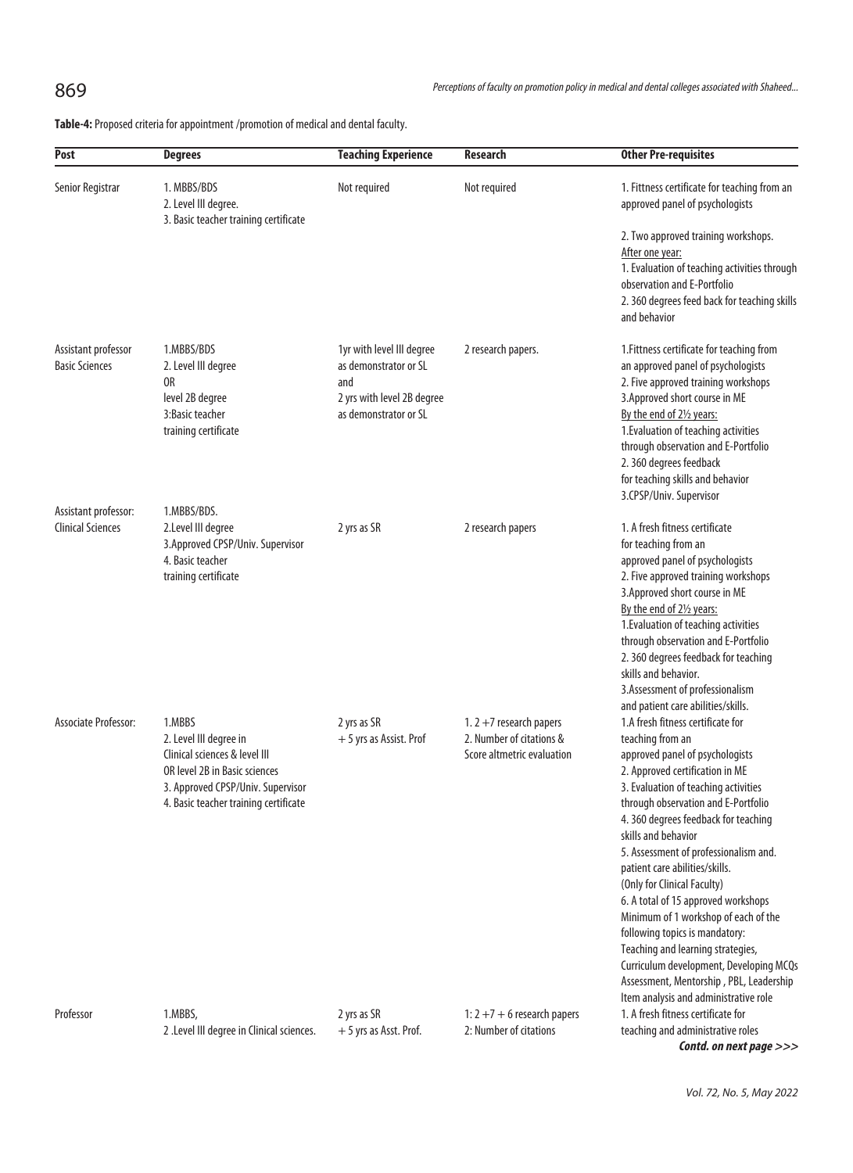**Table-4:** Proposed criteria for appointment /promotion of medical and dental faculty.

| Post                                             | <b>Degrees</b>                                                                                                                                                                   | <b>Teaching Experience</b>                                                                                       | Research                                                                             | <b>Other Pre-requisites</b>                                                                                                                                                                                                                                                                                                                                                                                                                                                                                                                                                                                                                                              |
|--------------------------------------------------|----------------------------------------------------------------------------------------------------------------------------------------------------------------------------------|------------------------------------------------------------------------------------------------------------------|--------------------------------------------------------------------------------------|--------------------------------------------------------------------------------------------------------------------------------------------------------------------------------------------------------------------------------------------------------------------------------------------------------------------------------------------------------------------------------------------------------------------------------------------------------------------------------------------------------------------------------------------------------------------------------------------------------------------------------------------------------------------------|
| Senior Registrar                                 | 1. MBBS/BDS<br>2. Level III degree.<br>3. Basic teacher training certificate                                                                                                     | Not required                                                                                                     | Not required                                                                         | 1. Fittness certificate for teaching from an<br>approved panel of psychologists                                                                                                                                                                                                                                                                                                                                                                                                                                                                                                                                                                                          |
|                                                  |                                                                                                                                                                                  |                                                                                                                  |                                                                                      | 2. Two approved training workshops.<br>After one year:<br>1. Evaluation of teaching activities through<br>observation and E-Portfolio<br>2. 360 degrees feed back for teaching skills<br>and behavior                                                                                                                                                                                                                                                                                                                                                                                                                                                                    |
| Assistant professor<br><b>Basic Sciences</b>     | 1.MBBS/BDS<br>2. Level III degree<br>0R<br>level 2B degree<br>3: Basic teacher<br>training certificate                                                                           | 1yr with level III degree<br>as demonstrator or SL<br>and<br>2 yrs with level 2B degree<br>as demonstrator or SL | 2 research papers.                                                                   | 1. Fittness certificate for teaching from<br>an approved panel of psychologists<br>2. Five approved training workshops<br>3. Approved short course in ME<br>By the end of 21/2 years:<br>1. Evaluation of teaching activities<br>through observation and E-Portfolio<br>2. 360 degrees feedback<br>for teaching skills and behavior<br>3.CPSP/Univ. Supervisor                                                                                                                                                                                                                                                                                                           |
| Assistant professor:<br><b>Clinical Sciences</b> | 1.MBBS/BDS.<br>2.Level III degree<br>3. Approved CPSP/Univ. Supervisor<br>4. Basic teacher<br>training certificate                                                               | 2 yrs as SR                                                                                                      | 2 research papers                                                                    | 1. A fresh fitness certificate<br>for teaching from an<br>approved panel of psychologists<br>2. Five approved training workshops<br>3. Approved short course in ME<br>By the end of 21/2 years:<br>1. Evaluation of teaching activities<br>through observation and E-Portfolio<br>2. 360 degrees feedback for teaching<br>skills and behavior.<br>3.Assessment of professionalism<br>and patient care abilities/skills.                                                                                                                                                                                                                                                  |
| <b>Associate Professor:</b>                      | 1.MBBS<br>2. Level III degree in<br>Clinical sciences & level III<br>OR level 2B in Basic sciences<br>3. Approved CPSP/Univ. Supervisor<br>4. Basic teacher training certificate | 2 yrs as SR<br>+ 5 yrs as Assist. Prof                                                                           | 1. $2 + 7$ research papers<br>2. Number of citations &<br>Score altmetric evaluation | 1.A fresh fitness certificate for<br>teaching from an<br>approved panel of psychologists<br>2. Approved certification in ME<br>3. Evaluation of teaching activities<br>through observation and E-Portfolio<br>4. 360 degrees feedback for teaching<br>skills and behavior<br>5. Assessment of professionalism and.<br>patient care abilities/skills.<br>(Only for Clinical Faculty)<br>6. A total of 15 approved workshops<br>Minimum of 1 workshop of each of the<br>following topics is mandatory:<br>Teaching and learning strategies,<br>Curriculum development, Developing MCQs<br>Assessment, Mentorship, PBL, Leadership<br>Item analysis and administrative role |
| Professor                                        | 1.MBBS,<br>2 .Level III degree in Clinical sciences.                                                                                                                             | 2 yrs as SR<br>+ 5 yrs as Asst. Prof.                                                                            | 1: $2 + 7 + 6$ research papers<br>2: Number of citations                             | 1. A fresh fitness certificate for<br>teaching and administrative roles<br>Contd. on next page >>>                                                                                                                                                                                                                                                                                                                                                                                                                                                                                                                                                                       |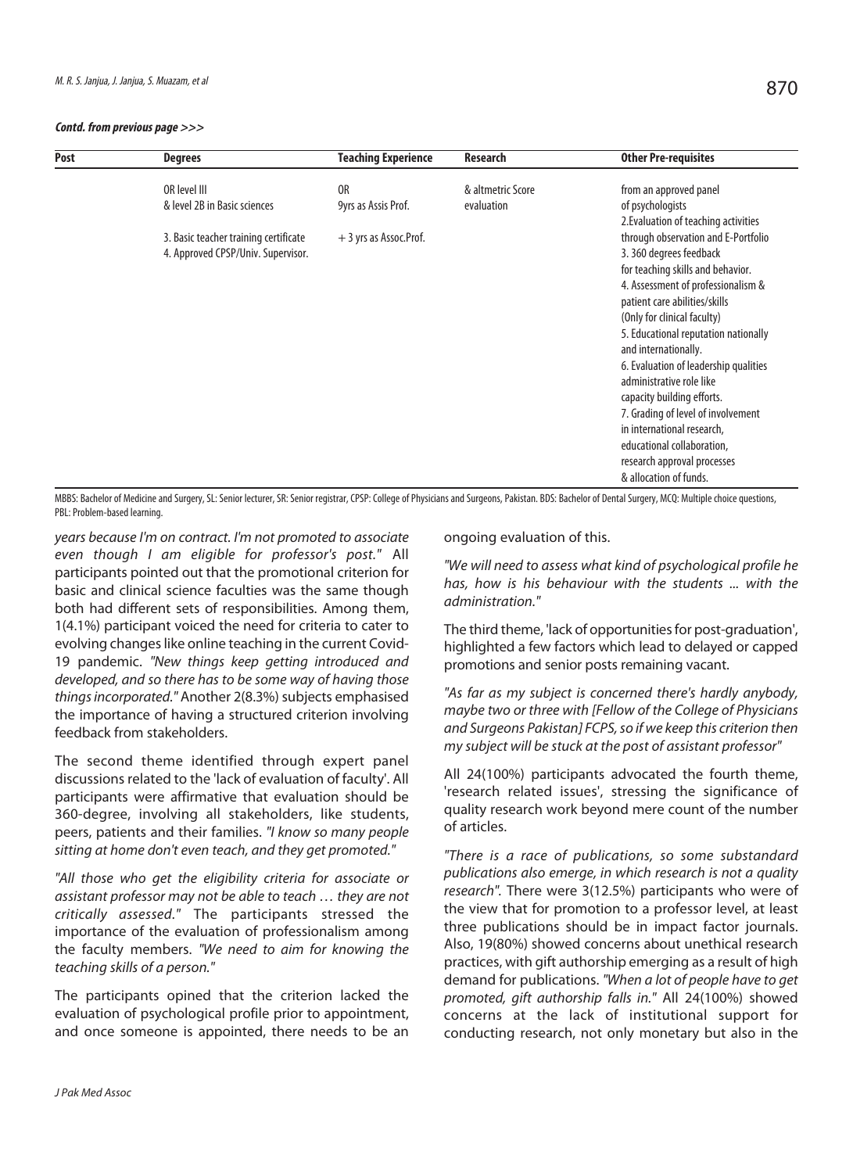#### **Contd. from previous page >>>**

| Post | <b>Degrees</b>                                                                                                              | <b>Teaching Experience</b>                          | Research                        | <b>Other Pre-requisites</b>                                                                                                                                                                                                                                                                                                                                                                             |
|------|-----------------------------------------------------------------------------------------------------------------------------|-----------------------------------------------------|---------------------------------|---------------------------------------------------------------------------------------------------------------------------------------------------------------------------------------------------------------------------------------------------------------------------------------------------------------------------------------------------------------------------------------------------------|
|      | OR level III<br>& level 2B in Basic sciences<br>3. Basic teacher training certificate<br>4. Approved CPSP/Univ. Supervisor. | 0R<br>9yrs as Assis Prof.<br>+ 3 yrs as Assoc.Prof. | & altmetric Score<br>evaluation | from an approved panel<br>of psychologists<br>2. Evaluation of teaching activities<br>through observation and E-Portfolio<br>3.360 degrees feedback<br>for teaching skills and behavior.<br>4. Assessment of professionalism &<br>patient care abilities/skills<br>(Only for clinical faculty)<br>5. Educational reputation nationally<br>and internationally.<br>6. Evaluation of leadership qualities |
|      |                                                                                                                             |                                                     |                                 | administrative role like<br>capacity building efforts.<br>7. Grading of level of involvement                                                                                                                                                                                                                                                                                                            |
|      |                                                                                                                             |                                                     |                                 | in international research,<br>educational collaboration,<br>research approval processes<br>& allocation of funds.                                                                                                                                                                                                                                                                                       |

MBBS: Bachelor of Medicine and Surgery, SL: Senior lecturer, SR: Senior registrar, CPSP: College of Physicians and Surgeons, Pakistan. BDS: Bachelor of Dental Surgery, MCQ: Multiple choice questions, PBL: Problem-based learning.

years because I'm on contract. I'm not promoted to associate even though I am eligible for professor's post." All participants pointed out that the promotional criterion for basic and clinical science faculties was the same though both had different sets of responsibilities. Among them, 1(4.1%) participant voiced the need for criteria to cater to evolving changes like online teaching in the current Covid-19 pandemic. "New things keep getting introduced and developed, and so there has to be some way of having those things incorporated." Another 2(8.3%) subjects emphasised the importance of having a structured criterion involving feedback from stakeholders.

The second theme identified through expert panel discussions related to the 'lack of evaluation of faculty'. All participants were affirmative that evaluation should be 360-degree, involving all stakeholders, like students, peers, patients and their families. "I know so many people sitting at home don't even teach, and they get promoted."

"All those who get the eligibility criteria for associate or assistant professor may not be able to teach … they are not critically assessed." The participants stressed the importance of the evaluation of professionalism among the faculty members. "We need to aim for knowing the teaching skills of a person."

The participants opined that the criterion lacked the evaluation of psychological profile prior to appointment, and once someone is appointed, there needs to be an

ongoing evaluation of this.

"We will need to assess what kind of psychological profile he has, how is his behaviour with the students ... with the administration."

The third theme, 'lack of opportunities for post-graduation', highlighted a few factors which lead to delayed or capped promotions and senior posts remaining vacant.

"As far as my subject is concerned there's hardly anybody, maybe two or three with [Fellow of the College of Physicians and Surgeons Pakistan] FCPS, so if we keep this criterion then my subject will be stuck at the post of assistant professor"

All 24(100%) participants advocated the fourth theme, 'research related issues', stressing the significance of quality research work beyond mere count of the number of articles.

"There is a race of publications, so some substandard publications also emerge, in which research is not a quality research". There were 3(12.5%) participants who were of the view that for promotion to a professor level, at least three publications should be in impact factor journals. Also, 19(80%) showed concerns about unethical research practices, with gift authorship emerging as a result of high demand for publications. "When a lot of people have to get promoted, gift authorship falls in." All 24(100%) showed concerns at the lack of institutional support for conducting research, not only monetary but also in the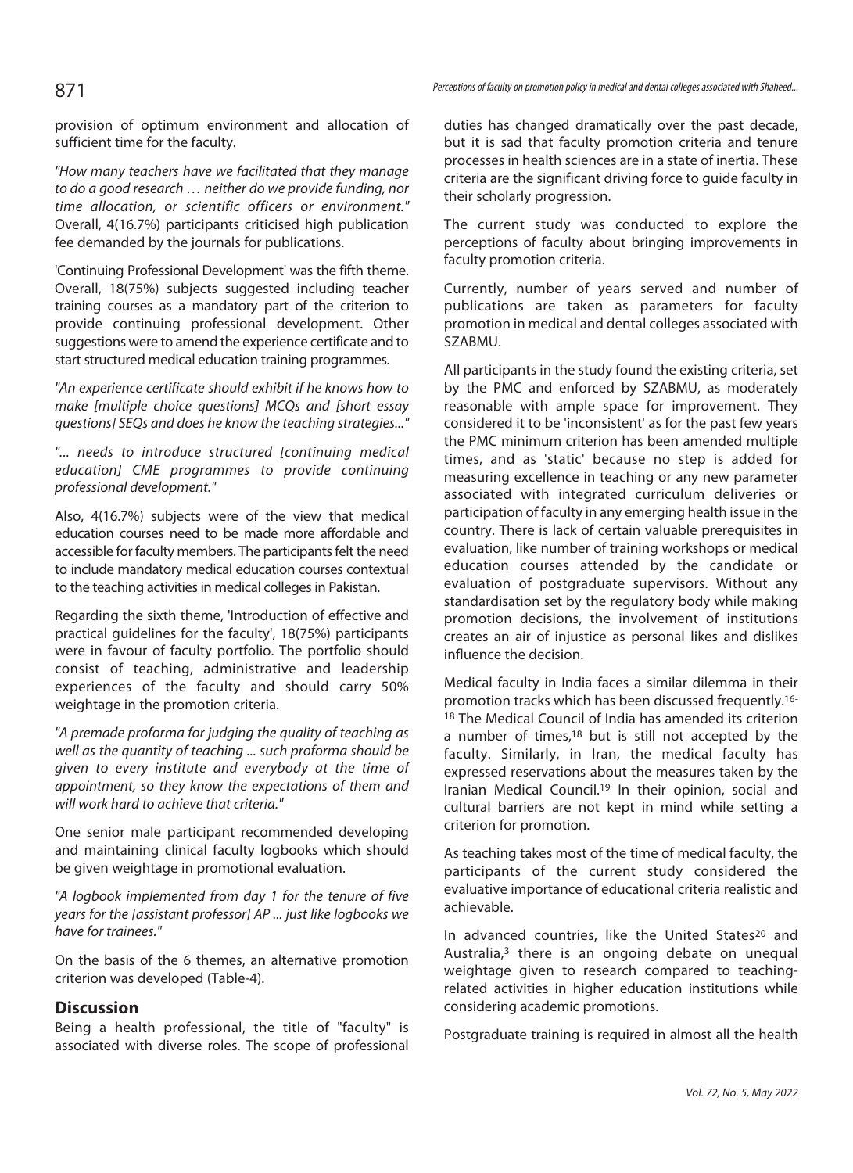provision of optimum environment and allocation of sufficient time for the faculty.

"How many teachers have we facilitated that they manage to do a good research … neither do we provide funding, nor time allocation, or scientific officers or environment." Overall, 4(16.7%) participants criticised high publication fee demanded by the journals for publications.

'Continuing Professional Development' was the fifth theme. Overall, 18(75%) subjects suggested including teacher training courses as a mandatory part of the criterion to provide continuing professional development. Other suggestions were to amend the experience certificate and to start structured medical education training programmes.

"An experience certificate should exhibit if he knows how to make [multiple choice questions] MCQs and [short essay questions] SEQs and does he know the teaching strategies..."

"... needs to introduce structured [continuing medical education] CME programmes to provide continuing professional development."

Also, 4(16.7%) subjects were of the view that medical education courses need to be made more affordable and accessible for faculty members. The participants felt the need to include mandatory medical education courses contextual to the teaching activities in medical colleges in Pakistan.

Regarding the sixth theme, 'Introduction of effective and practical guidelines for the faculty', 18(75%) participants were in favour of faculty portfolio. The portfolio should consist of teaching, administrative and leadership experiences of the faculty and should carry 50% weightage in the promotion criteria.

"A premade proforma for judging the quality of teaching as well as the quantity of teaching ... such proforma should be given to every institute and everybody at the time of appointment, so they know the expectations of them and will work hard to achieve that criteria."

One senior male participant recommended developing and maintaining clinical faculty logbooks which should be given weightage in promotional evaluation.

"A logbook implemented from day 1 for the tenure of five years for the [assistant professor] AP ... just like logbooks we have for trainees."

On the basis of the 6 themes, an alternative promotion criterion was developed (Table-4).

## **Discussion**

Being a health professional, the title of "faculty" is associated with diverse roles. The scope of professional duties has changed dramatically over the past decade, but it is sad that faculty promotion criteria and tenure processes in health sciences are in a state of inertia. These criteria are the significant driving force to guide faculty in their scholarly progression.

The current study was conducted to explore the perceptions of faculty about bringing improvements in faculty promotion criteria.

Currently, number of years served and number of publications are taken as parameters for faculty promotion in medical and dental colleges associated with SZABMU.

All participants in the study found the existing criteria, set by the PMC and enforced by SZABMU, as moderately reasonable with ample space for improvement. They considered it to be 'inconsistent' as for the past few years the PMC minimum criterion has been amended multiple times, and as 'static' because no step is added for measuring excellence in teaching or any new parameter associated with integrated curriculum deliveries or participation of faculty in any emerging health issue in the country. There is lack of certain valuable prerequisites in evaluation, like number of training workshops or medical education courses attended by the candidate or evaluation of postgraduate supervisors. Without any standardisation set by the regulatory body while making promotion decisions, the involvement of institutions creates an air of injustice as personal likes and dislikes influence the decision.

Medical faculty in India faces a similar dilemma in their promotion tracks which has been discussed frequently.<sup>16-</sup> <sup>18</sup> The Medical Council of India has amended its criterion a number of times,18 but is still not accepted by the faculty. Similarly, in Iran, the medical faculty has expressed reservations about the measures taken by the Iranian Medical Council.19 In their opinion, social and cultural barriers are not kept in mind while setting a criterion for promotion.

As teaching takes most of the time of medical faculty, the participants of the current study considered the evaluative importance of educational criteria realistic and achievable.

In advanced countries, like the United States<sup>20</sup> and Australia,<sup>3</sup> there is an ongoing debate on unequal weightage given to research compared to teachingrelated activities in higher education institutions while considering academic promotions.

Postgraduate training is required in almost all the health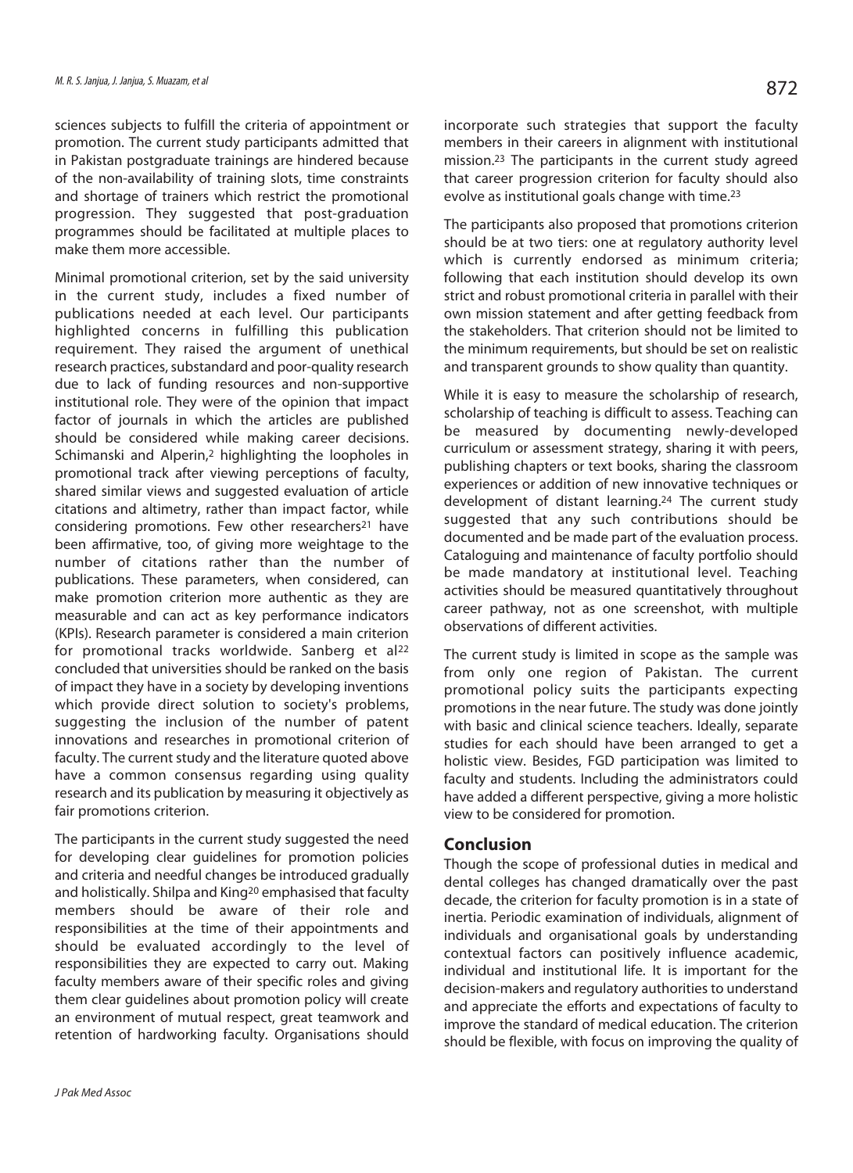sciences subjects to fulfill the criteria of appointment or promotion. The current study participants admitted that in Pakistan postgraduate trainings are hindered because of the non-availability of training slots, time constraints and shortage of trainers which restrict the promotional progression. They suggested that post-graduation programmes should be facilitated at multiple places to make them more accessible.

Minimal promotional criterion, set by the said university in the current study, includes a fixed number of publications needed at each level. Our participants highlighted concerns in fulfilling this publication requirement. They raised the argument of unethical research practices, substandard and poor-quality research due to lack of funding resources and non-supportive institutional role. They were of the opinion that impact factor of journals in which the articles are published should be considered while making career decisions. Schimanski and Alperin,<sup>2</sup> highlighting the loopholes in promotional track after viewing perceptions of faculty, shared similar views and suggested evaluation of article citations and altimetry, rather than impact factor, while considering promotions. Few other researchers<sup>21</sup> have been affirmative, too, of giving more weightage to the number of citations rather than the number of publications. These parameters, when considered, can make promotion criterion more authentic as they are measurable and can act as key performance indicators (KPIs). Research parameter is considered a main criterion for promotional tracks worldwide. Sanberg et al<sup>22</sup> concluded that universities should be ranked on the basis of impact they have in a society by developing inventions which provide direct solution to society's problems, suggesting the inclusion of the number of patent innovations and researches in promotional criterion of faculty. The current study and the literature quoted above have a common consensus regarding using quality research and its publication by measuring it objectively as fair promotions criterion.

The participants in the current study suggested the need for developing clear guidelines for promotion policies and criteria and needful changes be introduced gradually and holistically. Shilpa and King<sup>20</sup> emphasised that faculty members should be aware of their role and responsibilities at the time of their appointments and should be evaluated accordingly to the level of responsibilities they are expected to carry out. Making faculty members aware of their specific roles and giving them clear guidelines about promotion policy will create an environment of mutual respect, great teamwork and retention of hardworking faculty. Organisations should

incorporate such strategies that support the faculty members in their careers in alignment with institutional mission.23 The participants in the current study agreed that career progression criterion for faculty should also evolve as institutional goals change with time.23

The participants also proposed that promotions criterion should be at two tiers: one at regulatory authority level which is currently endorsed as minimum criteria; following that each institution should develop its own strict and robust promotional criteria in parallel with their own mission statement and after getting feedback from the stakeholders. That criterion should not be limited to the minimum requirements, but should be set on realistic and transparent grounds to show quality than quantity.

While it is easy to measure the scholarship of research, scholarship of teaching is difficult to assess. Teaching can be measured by documenting newly-developed curriculum or assessment strategy, sharing it with peers, publishing chapters or text books, sharing the classroom experiences or addition of new innovative techniques or development of distant learning.24 The current study suggested that any such contributions should be documented and be made part of the evaluation process. Cataloguing and maintenance of faculty portfolio should be made mandatory at institutional level. Teaching activities should be measured quantitatively throughout career pathway, not as one screenshot, with multiple observations of different activities.

The current study is limited in scope as the sample was from only one region of Pakistan. The current promotional policy suits the participants expecting promotions in the near future. The study was done jointly with basic and clinical science teachers. Ideally, separate studies for each should have been arranged to get a holistic view. Besides, FGD participation was limited to faculty and students. Including the administrators could have added a different perspective, giving a more holistic view to be considered for promotion.

## **Conclusion**

Though the scope of professional duties in medical and dental colleges has changed dramatically over the past decade, the criterion for faculty promotion is in a state of inertia. Periodic examination of individuals, alignment of individuals and organisational goals by understanding contextual factors can positively influence academic, individual and institutional life. It is important for the decision-makers and regulatory authorities to understand and appreciate the efforts and expectations of faculty to improve the standard of medical education. The criterion should be flexible, with focus on improving the quality of